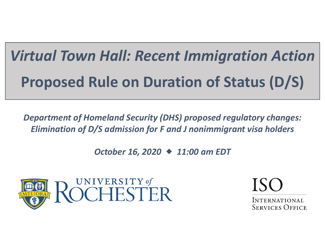# *Virtual Town Hall: Recent Immigration Action* **Proposed Rule on Duration of Status (D/S)**

*Department of Homeland Security (DHS) proposed regulatory changes: Elimination of D/S admission for F and J nonimmigrant visa holders*

*October 16, 2020 11:00 am EDT*



**INTERNATIONAL SERVICES OFFICE**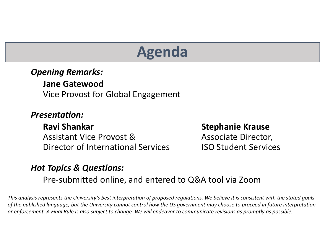# **Agenda**

#### *Opening Remarks:*

**Jane Gatewood**Vice Provost for Global Engagement

#### *Presentation:*

#### **Ravi**

Assistant ViceDirector of International Services ISO

#### **Stephanie Krause**

Associate Director, Student Services

#### *Hot Topics & Questions:*

Pre‐submitted online, and entered to Q&A tool via Zoom

This analysis represents the University's best interpretation of proposed regulations. We believe it is consistent with the stated goals of the published language, but the University cannot control how the US government may choose to proceed in future interpretation or enforcement. A Final Rule is also subject to change. We will endeavor to communicate revisions as promptly as possible.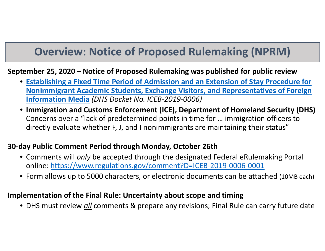### **Overview: Notice of Proposed Rulemaking (NPRM)**

#### **September 25, 2020 – Notice of Proposed Rulemaking was published for public review**

- **Establishing <sup>a</sup> Fixed Time Period of Admission and an Extension of Stay Procedure for Nonimmigrant Academic Students, Exchange Visitors, and Representatives of Foreign Information Media** *(DHS Docket No. ICEB‐2019‐0006)*
- **Immigration and Customs Enforcement (ICE), Department of Homeland Security (DHS)** Concerns over a "lack of predetermined points in time for … immigration officers to directly evaluate whether F, J, and I nonimmigrants are maintaining their status"

#### **30‐day Public Comment Period through Monday, October 26th**

- Comments will *only* be accepted through the designated Federal eRulemaking Portal online: https://www.regulations.gov/comment?D=ICEB‐2019‐0006‐0001
- Form allows up to 5000 characters, or electronic documents can be attached (10MB each)

#### **Implementation of the Final Rule: Uncertainty about scope and timing**

• DHS must review *all* comments & prepare any revisions; Final Rule can carry future date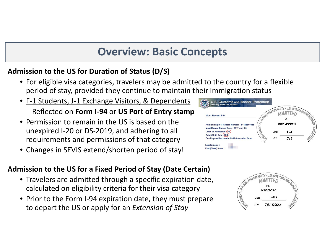### **Overview: Basic Concepts**

#### **Admission to the US for Duration of Status (D/S)**

- For eligible visa categories, travelers may be admitted to the country for <sup>a</sup> flexible period of stay, provided they continue to maintain their immigration status
- F-1 Students, J-1 Exchange Visitors, & Dependents Reflected on **Form I‐94** or **US Port of Entry stamp**
- Permission to remain in the US is based on the unexpired I‐20 or DS‐2019, and adhering to all requirements and permissions of that category
- Changes in SEVIS extend/shorten period of stay!

#### **Admission to the US for <sup>a</sup> Fixed Period of Stay (Date Certain)**

- Travelers are admitted through <sup>a</sup> specific expiration date, calculated on eligibility criteria for their visa category
- Prior to the Form I‐94 expiration date, they must prepare to depart the US or apply for an *Extension of Stay*



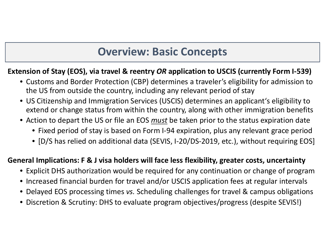### **Overview: Basic Concepts**

#### **Extension of Stay (EOS), via travel & reentry** *OR* **application to USCIS (currently Form I‐539)**

- Customs and Border Protection (CBP) determines <sup>a</sup> traveler's eligibility for admission to the US from outside the country, including any relevant period of stay
- US Citizenship and Immigration Services (USCIS) determines an applicant's eligibility to extend or change status from within the country, along with other immigration benefits
- Action to depart the US or file an EOS *must* be taken prior to the status expiration date
	- Fixed period of stay is based on Form I‐94 expiration, plus any relevant grace period
	- [D/S has relied on additional data (SEVIS, I‐20/DS‐2019, etc.), without requiring EOS]

#### **General Implications: F & J visa holders will face less flexibility, greater costs, uncertainty**

- Explicit DHS authorization would be required for any continuation or change of program
- Increased financial burden for travel and/or USCIS application fees at regular intervals
- Delayed EOS processing times *vs.* Scheduling challenges for travel & campus obligations
- Discretion & Scrutiny: DHS to evaluate program objectives/progress (despite SEVIS!)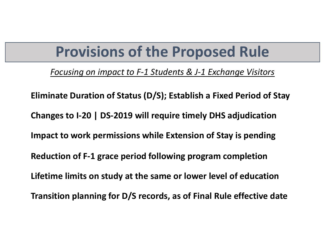## **Provisions of the Proposed Rule**

*Focusing on impact to F‐1 Students & J‐1 Exchange Visitors*

**Eliminate Duration of Status (D/S); Establish <sup>a</sup> Fixed Period of Stay Changes to I‐20 | DS‐2019 will require timely DHS adjudication Impact to work permissions while Extension of Stay is pending Reduction of F‐1 grace period following program completion Lifetime limits on study at the same or lower level of education Transition planning for D/S records, as of Final Rule effective date**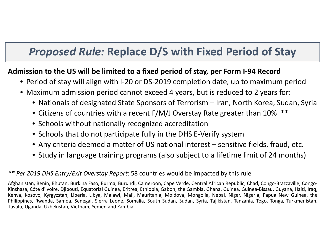### *Proposed Rule:* **Replace D/S with Fixed Period of Stay**

#### **Admission to the US will be limited to <sup>a</sup> fixed period of stay, per Form I‐94 Record**

- Period of stay will align with I‐20 or DS‐2019 completion date, up to maximum period
- Maximum admission period cannot exceed <u>4 years</u>, but is reduced to <u>2 years</u> for:
	- Nationals of designated State Sponsors of Terrorism Iran, North Korea, Sudan, Syria
	- Citizens of countries with <sup>a</sup> recent F/M/J Overstay Rate greater than 10% \*\*
	- Schools without nationally recognized accreditation
	- Schools that do not participate fully in the DHS E‐Verify system
	- Any criteria deemed <sup>a</sup> matter of US national interest sensitive fields, fraud, etc.
	- Study in language training programs (also subject to <sup>a</sup> lifetime limit of 24 months)

#### *\*\* Per 2019 DHS Entry/Exit Overstay Report*: 58 countries would be impacted by this rule

Afghanistan, Benin, Bhutan, Burkina Faso, Burma, Burundi, Cameroon, Cape Verde, Central African Republic, Chad, Congo‐Brazzaville, Congo‐ Kinshasa, Côte d'Ivoire, Djibouti, Equatorial Guinea, Eritrea, Ethiopia, Gabon, the Gambia, Ghana, Guinea, Guinea‐Bissau, Guyana, Haiti, Iraq, Kenya, Kosovo, Kyrgyzstan, Liberia, Libya, Malawi, Mali, Mauritania, Moldova, Mongolia, Nepal, Niger, Nigeria, Papua New Guinea, the Philippines, Rwanda, Samoa, Senegal, Sierra Leone, Somalia, South Sudan, Sudan, Syria, Tajikistan, Tanzania, Togo, Tonga, Turkmenistan, Tuvalu, Uganda, Uzbekistan, Vietnam, Yemen and Zambia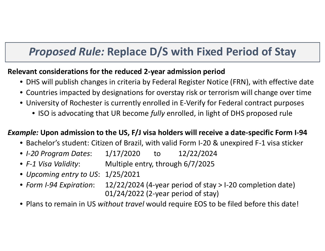### *Proposed Rule:* **Replace D/S with Fixed Period of Stay**

#### **Relevant considerations for the reduced 2‐year admission period**

- DHS will publish changes in criteria by Federal Register Notice (FRN), with effective date
- Countries impacted by designations for overstay risk or terrorism will change over time
- University of Rochester is currently enrolled in E‐Verify for Federal contract purposes
	- ISO is advocating that UR become *fully* enrolled, in light of DHS proposed rule

#### *Example:* **Upon admission to the US, F/J visa holders will receive <sup>a</sup> date‐specific Form I‐94**

- Bachelor's student: Citizen of Brazil, with valid Form I‐20 & unexpired F‐1 visa sticker
- *I‐20 Program Dates*: 1/17/2020 to 12/22/2024
- *F‐1 VisaValidity*: Multiple entry, through 6/7/2025
- *Upcoming entry to US*: 1/25/2021
- *Form I‐94 Expiration*: 12/22/2024 (4‐year period of stay <sup>&</sup>gt; I‐20 completion date) 01/24/2022 (2‐year period of stay)
- Plans to remain in US *without travel* would require EOS to be filed before this date!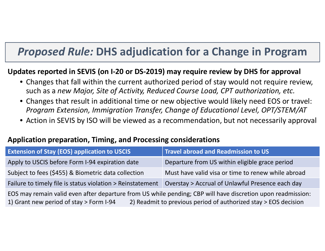### *Proposed Rule:* **DHS adjudication for <sup>a</sup> Change in Program**

#### **Updates reported in SEVIS (on I‐20 or DS‐2019) may require review by DHS for approval**

- Changes that fall within the current authorized period of stay would not require review, such as a *new Major, Site of Activity, Reduced Course Load, CPT authorization, etc.*
- Changes that result in additional time or new objective would likely need EOS or travel: *Program Extension, Immigration Transfer, Change of Educational Level, OPT/STEM/AT*
- Action in SEVIS by ISO will be viewed as <sup>a</sup> recommendation, but not necessarily approval

#### **Application preparation, Timing, and Processing considerations**

| <b>Extension of Stay (EOS) application to USCIS</b>                                                                                                                                                                       | <b>Travel abroad and Readmission to US</b>         |  |  |
|---------------------------------------------------------------------------------------------------------------------------------------------------------------------------------------------------------------------------|----------------------------------------------------|--|--|
| Apply to USCIS before Form I-94 expiration date                                                                                                                                                                           | Departure from US within eligible grace period     |  |  |
| Subject to fees (\$455) & Biometric data collection                                                                                                                                                                       | Must have valid visa or time to renew while abroad |  |  |
| Failure to timely file is status violation > Reinstatement                                                                                                                                                                | Overstay > Accrual of Unlawful Presence each day   |  |  |
| EOS may remain valid even after departure from US while pending; CBP will have discretion upon readmission:<br>2) Readmit to previous period of authorized stay > EOS decision<br>1) Grant new period of stay > Form I-94 |                                                    |  |  |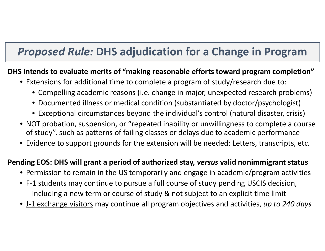### *Proposed Rule:* **DHS adjudication for <sup>a</sup> Change in Program**

#### **DHS intends to evaluate merits of "making reasonable efforts toward program completion"**

- Extensions for additional time to complete <sup>a</sup> program of study/research due to:
	- Compelling academic reasons (i.e. change in major, unexpected research problems)
	- Documented illness or medical condition (substantiated by doctor/psychologist)
	- Exceptional circumstances beyond the individual's control (natural disaster, crisis)
- NOT probation, suspension, or "repeated inability or unwillingness to complete <sup>a</sup> course of study", such as patterns of failing classes or delays due to academic performance
- Evidence to support grounds for the extension will be needed: Letters, transcripts, etc.

#### **Pending EOS: DHS will grant <sup>a</sup> period of authorized stay,** *versus* **valid nonimmigrant status**

- Permission to remain in the US temporarily and engage in academic/program activities
- <u>F-1 students</u> may continue to pursue a full course of study pending USCIS decision, including <sup>a</sup> new term or course of study & not subject to an explicit time limit
- J‐1 exchange visitors may continue all program objectives and activities, *up to 240 days*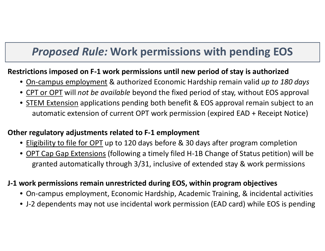### *Proposed Rule:* **Work permissions with pending EOS**

#### **Restrictions imposed on F‐1 work permissions until new period of stay is authorized**

- On‐campus employment & authorized Economic Hardship remain valid *up to 180 days*
- CPT or OPT will *not be available* beyond the fixed period of stay, without EOS approval
- **STEM Extension** applications pending both benefit & EOS approval remain subject to an automatic extension of current OPT work permission (expired EAD <sup>+</sup> Receipt Notice)

#### **Other regulatory adjustments related to F‐1 employment**

- Eligibility to file for OPT up to 120 days before & 30 days after program completion
- <u>OPT Cap Gap Extensions</u> (following a timely filed H-1B Change of Status petition) will be granted automatically through 3/31, inclusive of extended stay & work permissions

#### **J‐1 work permissions remain unrestricted during EOS, within program objectives**

- On‐campus employment, Economic Hardship, Academic Training, & incidental activities
- J‐2 dependents may not use incidental work permission (EAD card) while EOS is pending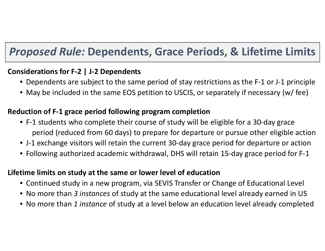### *Proposed Rule:* **Dependents, Grace Periods, & Lifetime Limits**

#### **Considerations for F‐2 | J‐2 Dependents**

- Dependents are subject to the same period of stay restrictions as the F‐1 or J‐1 principle
- May be included in the same EOS petition to USCIS, or separately if necessary (w/ fee)

#### **Reduction of F‐1 grace period following program completion**

- F‐1 students who complete their course of study will be eligible for <sup>a</sup> 30‐day grace period (reduced from 60 days) to prepare for departure or pursue other eligible action
- J‐1 exchange visitors will retain the current 30‐day grace period for departure or action
- Following authorized academic withdrawal, DHS will retain 15‐day grace period for F‐1

#### **Lifetime limits on study at the same or lower level of education**

- Continued study in <sup>a</sup> new program, via SEVIS Transfer or Change of Educational Level
- No more than *3 instances* of study at the same educational level already earned in US
- No more than *1 instance* of study at <sup>a</sup> level below an education level already completed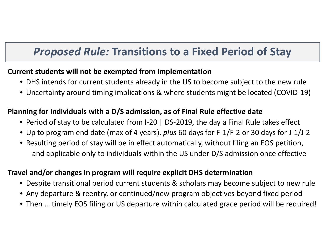### *Proposed Rule:* **Transitions to <sup>a</sup> Fixed Period of Stay**

#### **Current students will not be exempted from implementation**

- DHS intends for current students already in the US to become subject to the new rule
- Uncertainty around timing implications & where students might be located (COVID‐19)

#### **Planning for individuals with <sup>a</sup> D/S admission, as of Final Rule effective date**

- Period of stay to be calculated from I‐20 | DS‐2019, the day <sup>a</sup> Final Rule takes effect
- Up to program end date (max of 4 years), *plus* 60 days for F‐1/F‐2 or 30 days for J‐1/J‐2
- Resulting period of stay will be in effect automatically, without filing an EOS petition, and applicable only to individuals within the US under D/S admission once effective

#### **Travel and/or changes in program will require explicit DHS determination**

- Despite transitional period current students & scholars may become subject to new rule
- Any departure & reentry, or continued/new program objectives beyond fixed period
- Then … timely EOS filing or US departure within calculated grace period will be required!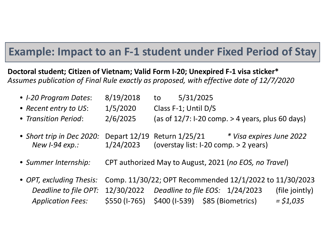### **Example: Impact to an F‐1 student under Fixed Period of Stay**

**Doctoral student; Citizen of Vietnam; Valid Form I‐20; Unexpired F‐1 visa sticker\*** *Assumes publication of Final Rule exactly as proposed, with effective date of 12/7/2020*

| • I-20 Program Dates:                              | 8/19/2018     | 5/31/2025<br>to                                                      |                                                         |
|----------------------------------------------------|---------------|----------------------------------------------------------------------|---------------------------------------------------------|
| • Recent entry to US:                              | 1/5/2020      | Class F-1; Until D/S                                                 |                                                         |
| • Transition Period:                               | 2/6/2025      |                                                                      | (as of $12/7$ : I-20 comp. > 4 years, plus 60 days)     |
| • Short trip in Dec 2020:<br>New <i>I-94 exp.:</i> | 1/24/2023     | Depart 12/19 Return 1/25/21<br>(overstay list: I-20 comp. > 2 years) | * Visa expires June 2022                                |
| • Summer Internship:                               |               | CPT authorized May to August, 2021 (no EOS, no Travel)               |                                                         |
| • OPT, excluding Thesis:                           |               |                                                                      | Comp. 11/30/22; OPT Recommended 12/1/2022 to 11/30/2023 |
| Deadline to file OPT:                              |               | 12/30/2022  Deadline to file EOS: 1/24/2023                          | (file jointly)                                          |
| <b>Application Fees:</b>                           | \$550 (I-765) | \$400 (I-539) \$85 (Biometrics)                                      | $=$ \$1,035                                             |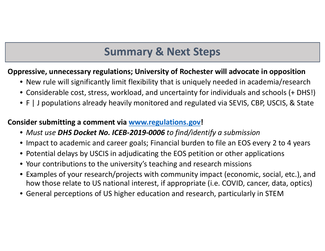### **Summary & Next Steps**

#### **Oppressive, unnecessary regulations; University of Rochester will advocate in opposition**

- New rule will significantly limit flexibility that is uniquely needed in academia/research
- Considerable cost, stress, workload, and uncertainty for individuals and schools (+ DHS!)
- F | J populations already heavily monitored and regulated via SEVIS, CBP, USCIS, & State

#### **Consider submitting <sup>a</sup> comment via www.regulations.gov!**

- *Must use DHS Docket No. ICEB‐2019‐0006 to find/identify <sup>a</sup> submission*
- Impact to academic and career goals; Financial burden to file an EOS every 2 to 4 years
- Potential delays by USCIS in adjudicating the EOS petition or other applications
- Your contributions to the university's teaching and research missions
- Examples of your research/projects with community impact (economic, social, etc.), and how those relate to US national interest, if appropriate (i.e. COVID, cancer, data, optics)
- General perceptions of US higher education and research, particularly in STEM